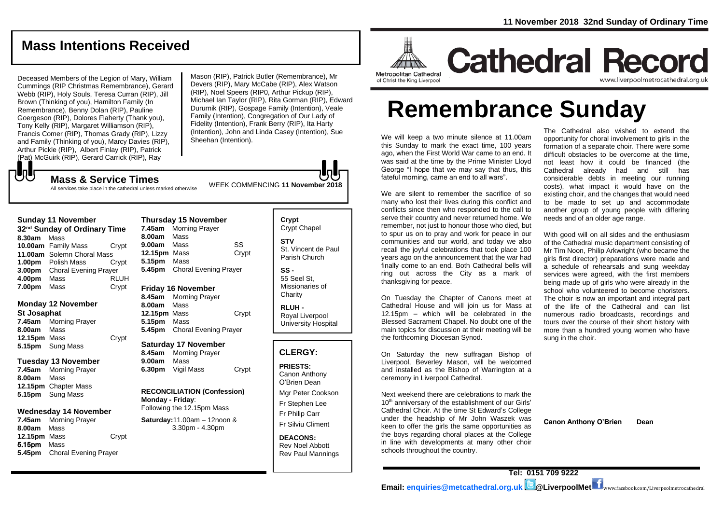### **Mass Intentions Received**

Deceased Members of the Legion of Mary, William Cummings (RIP Christmas Remembrance), Gerard Webb (RIP), Holy Souls, Teresa Curran (RIP), Jill Brown (Thinking of you), Hamilton Family (In Remembrance), Benny Dolan (RIP), Pauline Goergeson (RIP), Dolores Flaherty (Thank you), Tony Kelly (RIP), Margaret Williamson (RIP), Francis Comer (RIP), Thomas Grady (RIP), Lizzy and Family (Thinking of you), Marcy Davies (RIP), Arthur Pickle (RIP), Albert Finlay (RIP), Patrick (Pat) McGuirk (RIP), Gerard Carrick (RIP), Ray

Mason (RIP), Patrick Butler (Remembrance), Mr Devers (RIP), Mary McCabe (RIP), Alex Watson (RIP), Noel Speers (RIP0, Arthur Pickup (RIP), Michael Ian Taylor (RIP), Rita Gorman (RIP), Edward Dururnik (RIP), Gospage Family (Intention), Veale Family (Intention), Congregation of Our Lady of Fidelity (Intention), Frank Berry (RIP), Ita Harty (Intention), John and Linda Casey (Intention), Sue Sheehan (Intention).

WEEK COMMENCING **<sup>11</sup> November <sup>2018</sup> Mass & Service Times**

All services take place in the cathedral unless marked otherwise

#### **Sunday 11 November**

**UU** 

**32nd Sunday of Ordinary Time 8.30am** Mass **10.00am** Family Mass Crypt **11.00am** Solemn Choral Mass **1.00pm** Polish Mass Crypt **3.00pm** Choral Evening Prayer **4.00pm** Mass RLUH **7.00pm** Mass Crypt

#### **Monday 12 November St Josaphat**

**7.45am** Morning Prayer **8.00am** Mass **12.15pm** Mass Crypt **5.15pm** Sung Mass

#### **Tuesday 13 November**

**7.45am** Morning Prayer **8.00am** Mass **12.15pm** Chapter Mass **5.15pm** Sung Mass

#### **Wednesday 14 November**

**7.45am** Morning Prayer **8.00am** Mass **12.15pm** Mass Crypt 5.15pm Mass **5.45pm** Choral Evening Prayer

#### **Thursday 15 November 7.45am** Morning Prayer **8.00am** Mass **9.00am** Mass SS **12.15pm** Mass Crypt **5.15pm** Mass **5.45pm** Choral Evening Prayer

#### **Friday 16 November**

**8.45am** Morning Prayer **8.00am** Mass **12.15pm** Mass Crypt **5.15pm** Mass **5.45pm** Choral Evening Prayer

#### **Saturday 17 November**

**8.45am** Morning Prayer **9.00am** Mass **6.30pm** Vigil Mass Crypt

**RECONCILIATION (Confession) Monday - Friday**: Following the 12.15pm Mass

**Saturday:**11.00am – 12noon & 3.30pm - 4.30pm

**STV** St. Vincent de Paul

**Crypt**  Crypt Chapel

Parish Church **SS -** 55 Seel St, Missionaries of **Charity** 

**RLUH -** Royal Liverpool University Hospital

#### **CLERGY:**

**PRIESTS:** Canon Anthony O'Brien *Dean*

Mgr Peter Cookson Fr Stephen Lee

Fr Philip Carr

Fr Silviu Climent

**DEACONS:** Rev Noel Abbott Rev Paul Mannings



# **Cathedral Record**

of Christ the King Liverpool

## www.liverpoolmetrocathedral.org.ul

# **Remembrance Sunday**

We will keep a two minute silence at 11.00am this Sunday to mark the exact time, 100 years ago, when the First World War came to an end. It was said at the time by the Prime Minister Lloyd George "I hope that we may say that thus, this fateful morning, came an end to all wars".

We are silent to remember the sacrifice of so many who lost their lives during this conflict and conflicts since then who responded to the call to serve their country and never returned home. We remember, not just to honour those who died, but to spur us on to pray and work for peace in our communities and our world, and today we also recall the joyful celebrations that took place 100 years ago on the announcement that the war had finally come to an end. Both Cathedral bells will ring out across the City as a mark of thanksgiving for peace.

On Tuesday the Chapter of Canons meet at Cathedral House and will join us for Mass at 12.15pm – which will be celebrated in the Blessed Sacrament Chapel. No doubt one of the main topics for discussion at their meeting will be the forthcoming Diocesan Synod.

On Saturday the new suffragan Bishop of Liverpool, Beverley Mason, will be welcomed and installed as the Bishop of Warrington at a ceremony in Liverpool Cathedral.

Next weekend there are celebrations to mark the 10<sup>th</sup> anniversary of the establishment of our Girls' Cathedral Choir. At the time St Edward's College under the headship of Mr John Waszek was keen to offer the girls the same opportunities as the boys regarding choral places at the College in line with developments at many other choir schools throughout the country.

The Cathedral also wished to extend the opportunity for choral involvement to girls in the formation of a separate choir. There were some difficult obstacles to be overcome at the time, not least how it could be financed (the Cathedral already had and still has considerable debts in meeting our running costs), what impact it would have on the existing choir, and the changes that would need to be made to set up and accommodate another group of young people with differing needs and of an older age range.

With good will on all sides and the enthusiasm of the Cathedral music department consisting of Mr Tim Noon, Philip Arkwright (who became the girls first director) preparations were made and a schedule of rehearsals and sung weekday services were agreed, with the first members being made up of girls who were already in the school who volunteered to become choristers. The choir is now an important and integral part of the life of the Cathedral and can list numerous radio broadcasts, recordings and tours over the course of their short history with more than a hundred young women who have sung in the choir.

**Canon Anthony O'Brien Dean**